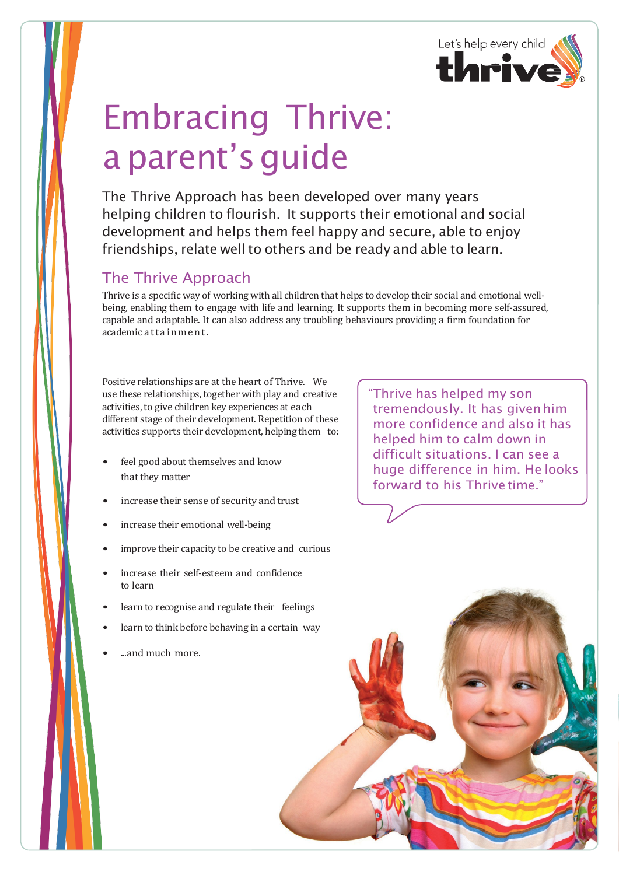

## Embracing Thrive: a parent's quide

The Thrive Approach has been developed over many years helping children to flourish. It supports their emotional and social development and helps them feel happy and secure, able to enjoy friendships, relate well to others and be ready and able to learn.

## The Thrive Approach

Thrive is a specific way of working with all children that helps to develop their social and emotional wellbeing, enabling them to engage with life and learning. It supports them in becoming more self-assured, capable and adaptable. It can also address any troubling behaviours providing a firm foundation for academic attainment.

Positive relationships are at the heart of Thrive. We use these relationships, together with play and creative activities, to give children key experiences at each different stage of their development. Repetition of these activities supports their development, helping them to:

- feel good about themselves and know that they matter
- increase their sense of security and trust
- increase their emotional well-being
- improve their capacity to be creative and curious
- increase their self-esteem and confidence to learn
- learn to recognise and regulate their feelings
- learn to think before behaving in a certain way
- ...and much more.

"Thrive has helped my son tremendously. It has givenhim more confidence and also it has helped him to calm down in difficult situations. I can see a huge difference in him. He looks forward to his Thrive time."